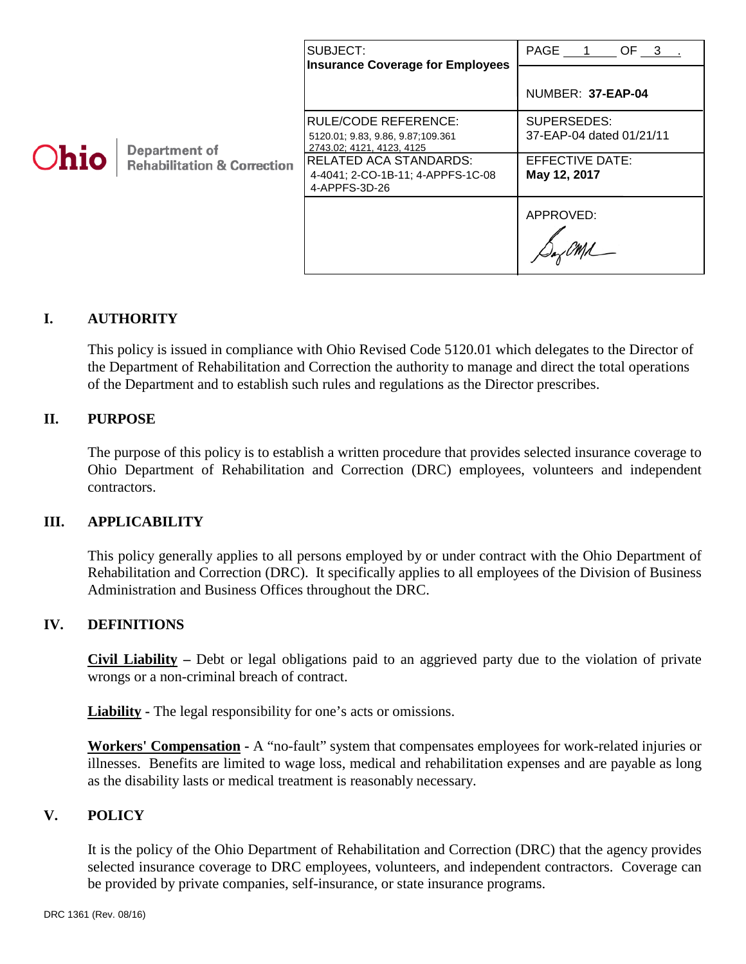|      |                                                         | SUBJECT:<br><b>Insurance Coverage for Employees</b>                                     | PAGE 1 OF 3 .                           |
|------|---------------------------------------------------------|-----------------------------------------------------------------------------------------|-----------------------------------------|
| Ohio | Department of<br><b>Rehabilitation &amp; Correction</b> |                                                                                         | NUMBER: 37-EAP-04                       |
|      |                                                         | RULE/CODE REFERENCE:<br>5120.01; 9.83, 9.86, 9.87; 109.361<br>2743.02; 4121, 4123, 4125 | SUPERSEDES:<br>37-EAP-04 dated 01/21/11 |
|      |                                                         | <b>RELATED ACA STANDARDS:</b><br>4-4041; 2-CO-1B-11; 4-APPFS-1C-08<br>4-APPFS-3D-26     | EFFECTIVE DATE:<br>May 12, 2017         |
|      |                                                         |                                                                                         | APPROVED:                               |

## **I. AUTHORITY**

This policy is issued in compliance with Ohio Revised Code 5120.01 which delegates to the Director of the Department of Rehabilitation and Correction the authority to manage and direct the total operations of the Department and to establish such rules and regulations as the Director prescribes.

## **II. PURPOSE**

The purpose of this policy is to establish a written procedure that provides selected insurance coverage to Ohio Department of Rehabilitation and Correction (DRC) employees, volunteers and independent contractors.

#### **III. APPLICABILITY**

This policy generally applies to all persons employed by or under contract with the Ohio Department of Rehabilitation and Correction (DRC). It specifically applies to all employees of the Division of Business Administration and Business Offices throughout the DRC.

#### **IV. DEFINITIONS**

**Civil Liability –** Debt or legal obligations paid to an aggrieved party due to the violation of private wrongs or a non-criminal breach of contract.

**Liability -** The legal responsibility for one's acts or omissions.

**Workers' Compensation -** A "no-fault" system that compensates employees for work-related injuries or illnesses. Benefits are limited to wage loss, medical and rehabilitation expenses and are payable as long as the disability lasts or medical treatment is reasonably necessary.

#### **V. POLICY**

It is the policy of the Ohio Department of Rehabilitation and Correction (DRC) that the agency provides selected insurance coverage to DRC employees, volunteers, and independent contractors. Coverage can be provided by private companies, self-insurance, or state insurance programs.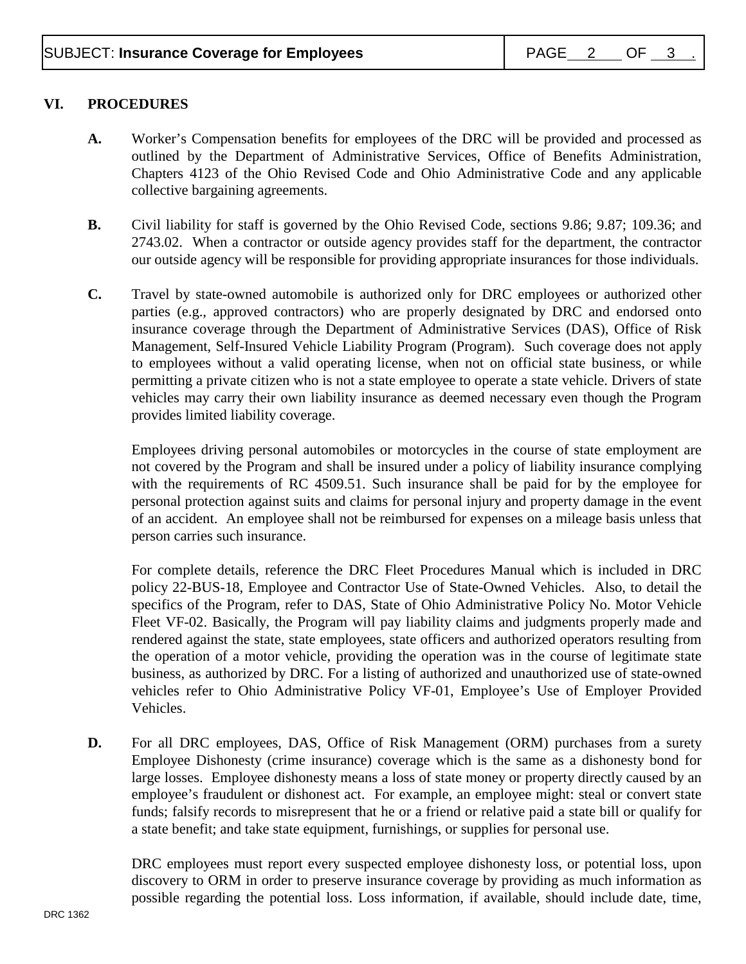## **VI. PROCEDURES**

- **A.** Worker's Compensation benefits for employees of the DRC will be provided and processed as outlined by the Department of Administrative Services, Office of Benefits Administration, Chapters 4123 of the Ohio Revised Code and Ohio Administrative Code and any applicable collective bargaining agreements.
- **B.** Civil liability for staff is governed by the Ohio Revised Code, sections 9.86; 9.87; 109.36; and 2743.02. When a contractor or outside agency provides staff for the department, the contractor our outside agency will be responsible for providing appropriate insurances for those individuals.
- **C.** Travel by state-owned automobile is authorized only for DRC employees or authorized other parties (e.g., approved contractors) who are properly designated by DRC and endorsed onto insurance coverage through the Department of Administrative Services (DAS), Office of Risk Management, Self-Insured Vehicle Liability Program (Program). Such coverage does not apply to employees without a valid operating license, when not on official state business, or while permitting a private citizen who is not a state employee to operate a state vehicle. Drivers of state vehicles may carry their own liability insurance as deemed necessary even though the Program provides limited liability coverage.

Employees driving personal automobiles or motorcycles in the course of state employment are not covered by the Program and shall be insured under a policy of liability insurance complying with the requirements of RC 4509.51. Such insurance shall be paid for by the employee for personal protection against suits and claims for personal injury and property damage in the event of an accident. An employee shall not be reimbursed for expenses on a mileage basis unless that person carries such insurance.

For complete details, reference the DRC Fleet Procedures Manual which is included in DRC policy 22-BUS-18, Employee and Contractor Use of State-Owned Vehicles. Also, to detail the specifics of the Program, refer to DAS, State of Ohio Administrative Policy No. Motor Vehicle Fleet VF-02. Basically, the Program will pay liability claims and judgments properly made and rendered against the state, state employees, state officers and authorized operators resulting from the operation of a motor vehicle, providing the operation was in the course of legitimate state business, as authorized by DRC. For a listing of authorized and unauthorized use of state-owned vehicles refer to Ohio Administrative Policy VF-01, Employee's Use of Employer Provided Vehicles.

**D.** For all DRC employees, DAS, Office of Risk Management (ORM) purchases from a surety Employee Dishonesty (crime insurance) coverage which is the same as a dishonesty bond for large losses. Employee dishonesty means a loss of state money or property directly caused by an employee's fraudulent or dishonest act. For example, an employee might: steal or convert state funds; falsify records to misrepresent that he or a friend or relative paid a state bill or qualify for a state benefit; and take state equipment, furnishings, or supplies for personal use.

DRC employees must report every suspected employee dishonesty loss, or potential loss, upon discovery to ORM in order to preserve insurance coverage by providing as much information as possible regarding the potential loss. Loss information, if available, should include date, time,